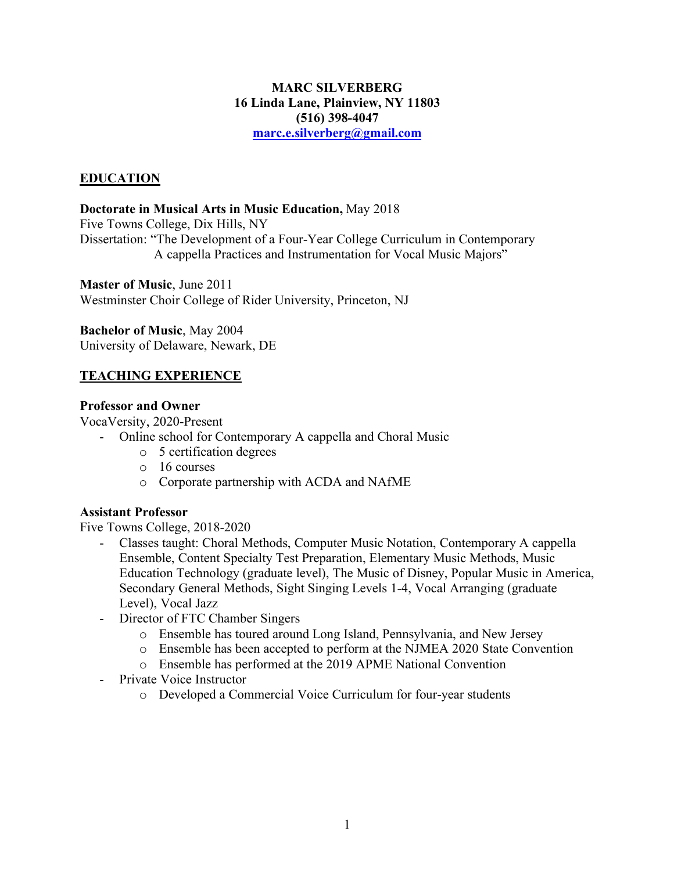### **MARC SILVERBERG 16 Linda Lane, Plainview, NY 11803 (516) 398-4047 marc.e.silverberg@gmail.com**

## **EDUCATION**

### **Doctorate in Musical Arts in Music Education,** May 2018

Five Towns College, Dix Hills, NY Dissertation: "The Development of a Four-Year College Curriculum in Contemporary A cappella Practices and Instrumentation for Vocal Music Majors"

**Master of Music**, June 2011 Westminster Choir College of Rider University, Princeton, NJ

**Bachelor of Music**, May 2004 University of Delaware, Newark, DE

## **TEACHING EXPERIENCE**

### **Professor and Owner**

VocaVersity, 2020-Present

- Online school for Contemporary A cappella and Choral Music
	- o 5 certification degrees
	- o 16 courses
	- o Corporate partnership with ACDA and NAfME

## **Assistant Professor**

Five Towns College, 2018-2020

- Classes taught: Choral Methods, Computer Music Notation, Contemporary A cappella Ensemble, Content Specialty Test Preparation, Elementary Music Methods, Music Education Technology (graduate level), The Music of Disney, Popular Music in America, Secondary General Methods, Sight Singing Levels 1-4, Vocal Arranging (graduate Level), Vocal Jazz
- Director of FTC Chamber Singers
	- o Ensemble has toured around Long Island, Pennsylvania, and New Jersey
	- o Ensemble has been accepted to perform at the NJMEA 2020 State Convention
	- o Ensemble has performed at the 2019 APME National Convention
- Private Voice Instructor
	- o Developed a Commercial Voice Curriculum for four-year students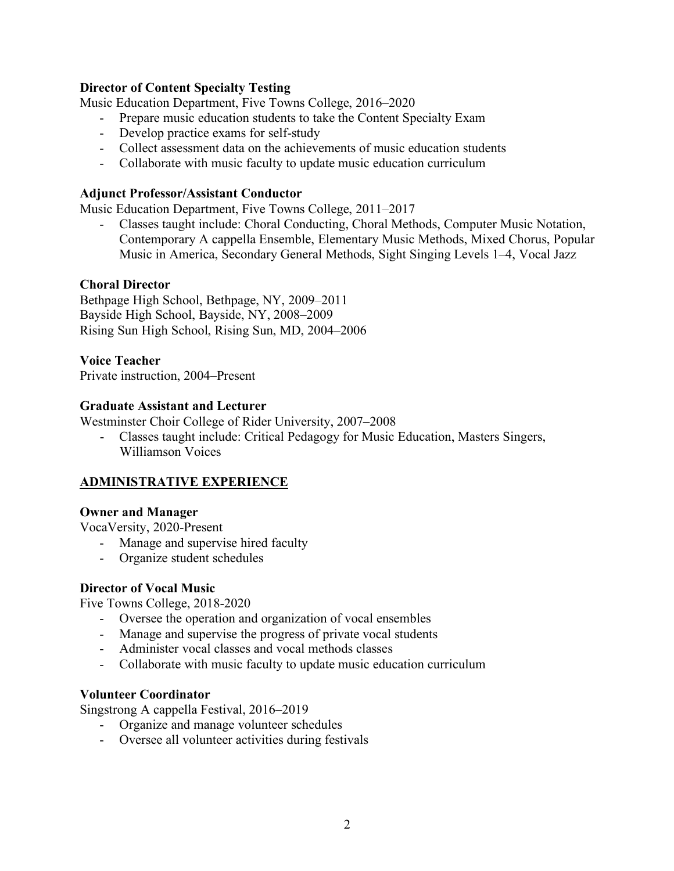### **Director of Content Specialty Testing**

Music Education Department, Five Towns College, 2016–2020

- Prepare music education students to take the Content Specialty Exam
- Develop practice exams for self-study
- Collect assessment data on the achievements of music education students
- Collaborate with music faculty to update music education curriculum

#### **Adjunct Professor/Assistant Conductor**

Music Education Department, Five Towns College, 2011–2017

- Classes taught include: Choral Conducting, Choral Methods, Computer Music Notation, Contemporary A cappella Ensemble, Elementary Music Methods, Mixed Chorus, Popular Music in America, Secondary General Methods, Sight Singing Levels 1–4, Vocal Jazz

### **Choral Director**

Bethpage High School, Bethpage, NY, 2009–2011 Bayside High School, Bayside, NY, 2008–2009 Rising Sun High School, Rising Sun, MD, 2004–2006

### **Voice Teacher**

Private instruction, 2004–Present

### **Graduate Assistant and Lecturer**

Westminster Choir College of Rider University, 2007–2008

 - Classes taught include: Critical Pedagogy for Music Education, Masters Singers, Williamson Voices

## **ADMINISTRATIVE EXPERIENCE**

#### **Owner and Manager**

VocaVersity, 2020-Present

- Manage and supervise hired faculty
- Organize student schedules

#### **Director of Vocal Music**

Five Towns College, 2018-2020

- Oversee the operation and organization of vocal ensembles
- Manage and supervise the progress of private vocal students
- Administer vocal classes and vocal methods classes
- Collaborate with music faculty to update music education curriculum

#### **Volunteer Coordinator**

Singstrong A cappella Festival, 2016–2019

- Organize and manage volunteer schedules
- Oversee all volunteer activities during festivals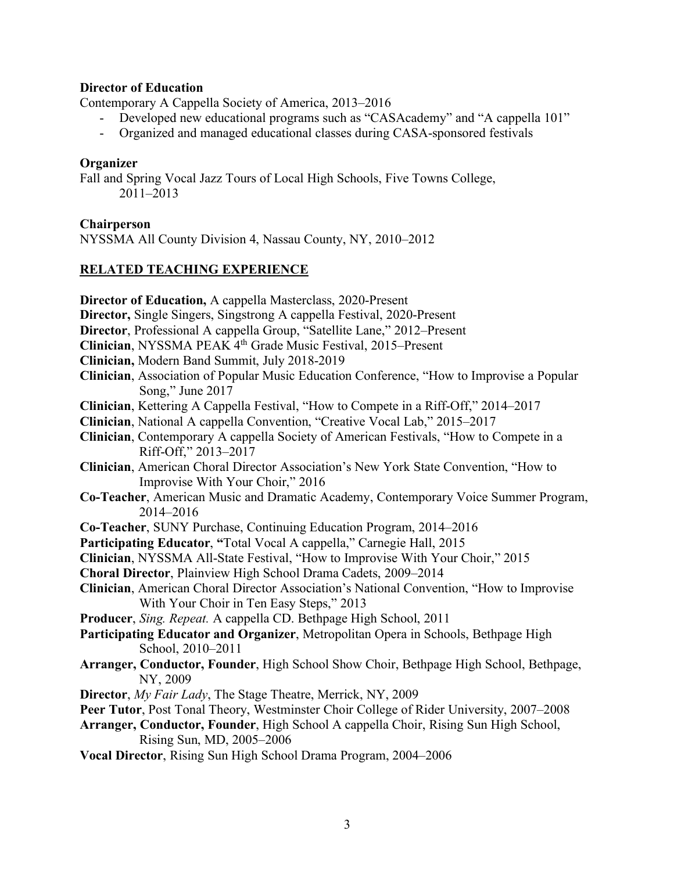#### **Director of Education**

Contemporary A Cappella Society of America, 2013–2016

- Developed new educational programs such as "CASAcademy" and "A cappella 101"
- Organized and managed educational classes during CASA-sponsored festivals

#### **Organizer**

Fall and Spring Vocal Jazz Tours of Local High Schools, Five Towns College, 2011–2013

#### **Chairperson**

NYSSMA All County Division 4, Nassau County, NY, 2010–2012

### **RELATED TEACHING EXPERIENCE**

- **Director of Education,** A cappella Masterclass, 2020-Present
- **Director,** Single Singers, Singstrong A cappella Festival, 2020-Present
- **Director**, Professional A cappella Group, "Satellite Lane," 2012–Present
- **Clinician**, NYSSMA PEAK 4th Grade Music Festival, 2015–Present
- **Clinician,** Modern Band Summit, July 2018-2019
- **Clinician**, Association of Popular Music Education Conference, "How to Improvise a Popular Song," June 2017
- **Clinician**, Kettering A Cappella Festival, "How to Compete in a Riff-Off," 2014–2017
- **Clinician**, National A cappella Convention, "Creative Vocal Lab," 2015–2017
- **Clinician**, Contemporary A cappella Society of American Festivals, "How to Compete in a Riff-Off," 2013–2017
- **Clinician**, American Choral Director Association's New York State Convention, "How to Improvise With Your Choir," 2016
- **Co-Teacher**, American Music and Dramatic Academy, Contemporary Voice Summer Program, 2014–2016
- **Co-Teacher**, SUNY Purchase, Continuing Education Program, 2014–2016
- **Participating Educator**, **"**Total Vocal A cappella," Carnegie Hall, 2015
- **Clinician**, NYSSMA All-State Festival, "How to Improvise With Your Choir," 2015
- **Choral Director**, Plainview High School Drama Cadets, 2009–2014
- **Clinician**, American Choral Director Association's National Convention, "How to Improvise With Your Choir in Ten Easy Steps," 2013
- **Producer**, *Sing. Repeat.* A cappella CD. Bethpage High School, 2011
- **Participating Educator and Organizer**, Metropolitan Opera in Schools, Bethpage High School, 2010–2011
- **Arranger, Conductor, Founder**, High School Show Choir, Bethpage High School, Bethpage, NY, 2009
- **Director**, *My Fair Lady*, The Stage Theatre, Merrick, NY, 2009
- **Peer Tutor**, Post Tonal Theory, Westminster Choir College of Rider University, 2007–2008
- **Arranger, Conductor, Founder**, High School A cappella Choir, Rising Sun High School, Rising Sun, MD, 2005–2006
- **Vocal Director**, Rising Sun High School Drama Program, 2004–2006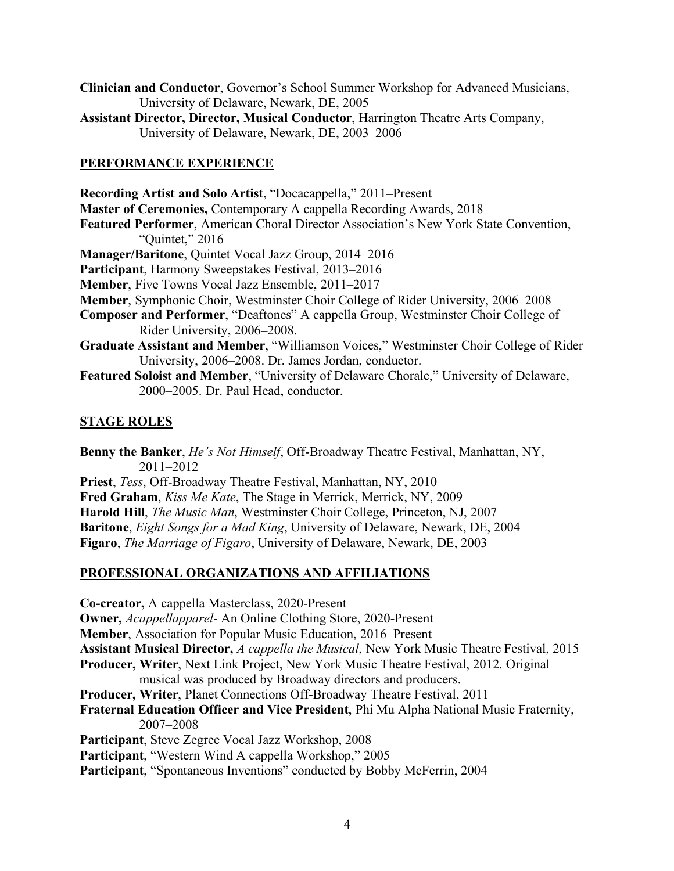- **Clinician and Conductor**, Governor's School Summer Workshop for Advanced Musicians, University of Delaware, Newark, DE, 2005
- **Assistant Director, Director, Musical Conductor**, Harrington Theatre Arts Company, University of Delaware, Newark, DE, 2003–2006

## **PERFORMANCE EXPERIENCE**

**Recording Artist and Solo Artist**, "Docacappella," 2011–Present **Master of Ceremonies,** Contemporary A cappella Recording Awards, 2018 **Featured Performer**, American Choral Director Association's New York State Convention, "Quintet," 2016 **Manager/Baritone**, Quintet Vocal Jazz Group, 2014–2016 **Participant**, Harmony Sweepstakes Festival, 2013–2016 **Member**, Five Towns Vocal Jazz Ensemble, 2011–2017 **Member**, Symphonic Choir, Westminster Choir College of Rider University, 2006–2008 **Composer and Performer**, "Deaftones" A cappella Group, Westminster Choir College of Rider University, 2006–2008. **Graduate Assistant and Member**, "Williamson Voices," Westminster Choir College of Rider University, 2006–2008. Dr. James Jordan, conductor. **Featured Soloist and Member**, "University of Delaware Chorale," University of Delaware, 2000–2005. Dr. Paul Head, conductor.

## **STAGE ROLES**

**Benny the Banker**, *He's Not Himself*, Off-Broadway Theatre Festival, Manhattan, NY, 2011–2012 **Priest**, *Tess*, Off-Broadway Theatre Festival, Manhattan, NY, 2010 **Fred Graham**, *Kiss Me Kate*, The Stage in Merrick, Merrick, NY, 2009 **Harold Hill**, *The Music Man*, Westminster Choir College, Princeton, NJ, 2007 **Baritone**, *Eight Songs for a Mad King*, University of Delaware, Newark, DE, 2004 **Figaro**, *The Marriage of Figaro*, University of Delaware, Newark, DE, 2003

## **PROFESSIONAL ORGANIZATIONS AND AFFILIATIONS**

**Co-creator,** A cappella Masterclass, 2020-Present **Owner,** *Acappellapparel*- An Online Clothing Store, 2020-Present **Member**, Association for Popular Music Education, 2016–Present **Assistant Musical Director,** *A cappella the Musical*, New York Music Theatre Festival, 2015 **Producer, Writer**, Next Link Project, New York Music Theatre Festival, 2012. Original musical was produced by Broadway directors and producers. **Producer, Writer**, Planet Connections Off-Broadway Theatre Festival, 2011 **Fraternal Education Officer and Vice President**, Phi Mu Alpha National Music Fraternity, 2007–2008 **Participant**, Steve Zegree Vocal Jazz Workshop, 2008 **Participant**, "Western Wind A cappella Workshop," 2005